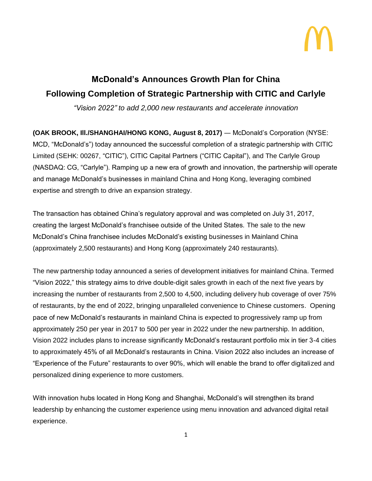

## **McDonald's Announces Growth Plan for China Following Completion of Strategic Partnership with CITIC and Carlyle**

*"Vision 2022" to add 2,000 new restaurants and accelerate innovation*

**(OAK BROOK, Ill./SHANGHAI/HONG KONG, August 8, 2017)** ― McDonald's Corporation (NYSE: MCD, "McDonald's") today announced the successful completion of a strategic partnership with CITIC Limited (SEHK: 00267, "CITIC"), CITIC Capital Partners ("CITIC Capital"), and The Carlyle Group (NASDAQ: CG, "Carlyle"). Ramping up a new era of growth and innovation, the partnership will operate and manage McDonald's businesses in mainland China and Hong Kong, leveraging combined expertise and strength to drive an expansion strategy.

The transaction has obtained China's regulatory approval and was completed on July 31, 2017, creating the largest McDonald's franchisee outside of the United States. The sale to the new McDonald's China franchisee includes McDonald's existing businesses in Mainland China (approximately 2,500 restaurants) and Hong Kong (approximately 240 restaurants).

The new partnership today announced a series of development initiatives for mainland China. Termed "Vision 2022," this strategy aims to drive double-digit sales growth in each of the next five years by increasing the number of restaurants from 2,500 to 4,500, including delivery hub coverage of over 75% of restaurants, by the end of 2022, bringing unparalleled convenience to Chinese customers. Opening pace of new McDonald's restaurants in mainland China is expected to progressively ramp up from approximately 250 per year in 2017 to 500 per year in 2022 under the new partnership. In addition, Vision 2022 includes plans to increase significantly McDonald's restaurant portfolio mix in tier 3-4 cities to approximately 45% of all McDonald's restaurants in China. Vision 2022 also includes an increase of "Experience of the Future" restaurants to over 90%, which will enable the brand to offer digitalized and personalized dining experience to more customers.

With innovation hubs located in Hong Kong and Shanghai, McDonald's will strengthen its brand leadership by enhancing the customer experience using menu innovation and advanced digital retail experience.